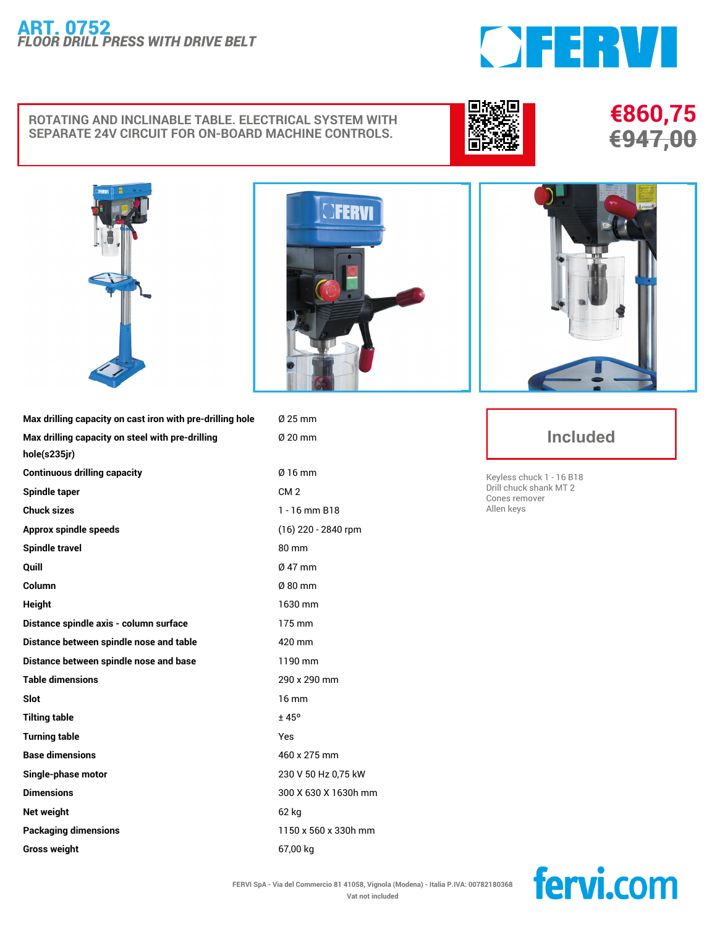## **ART. 0752** *FLOOR DRILL PRESS WITH DRIVE BELT*

## **ROTATING AND INCLINABLE TABLE. ELECTRICAL SYSTEM WITH SEPARATE 24V CIRCUIT FOR ON-BOARD MACHINE CONTROLS.**



**€860,75 €947,00**



**Max drilling capacity on steel with pre-drilling**

**hole(s235jr)**



**Max drilling capacity on cast iron with pre-drilling hole Ø 25 mm Ø 20 mm**

**Continuous drilling capacity Ø 16 mm Spindle taper CM 2 Chuck sizes 1 - 16 mm B18 Approx spindle speeds (16) 220 - 2840 rpm Spindle travel 80 mm Quill Ø 47 mm Column Ø 80 mm Height 1630 mm Distance spindle axis - column surface 175 mm Distance between spindle nose and table 420 mm Distance between spindle nose and base 1190 mm Table dimensions 290 x 290 mm Slot 16 mm Tilting table ± 45º Turning table Yes Base dimensions 460 x 275 mm Single-phase motor 230 V 50 Hz 0,75 kW Dimensions 300 X 630 X 1630h mm Net weight 62 kg Packaging dimensions 1150 x 560 x 330h mm Gross weight 67,00 kg**



OFERVI

## **Included**

**Keyless chuck 1 - 16 B18 Drill chuck shank MT 2 Cones remover Allen keys**

fervi.com